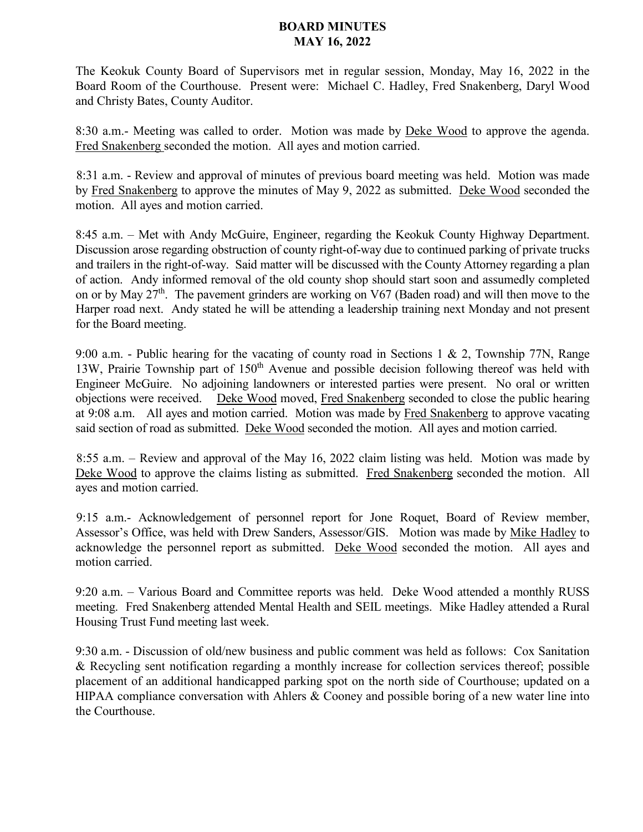## **BOARD MINUTES MAY 16, 2022**

The Keokuk County Board of Supervisors met in regular session, Monday, May 16, 2022 in the Board Room of the Courthouse. Present were: Michael C. Hadley, Fred Snakenberg, Daryl Wood and Christy Bates, County Auditor.

8:30 a.m.- Meeting was called to order. Motion was made by Deke Wood to approve the agenda. Fred Snakenberg seconded the motion. All ayes and motion carried.

8:31 a.m. - Review and approval of minutes of previous board meeting was held. Motion was made by Fred Snakenberg to approve the minutes of May 9, 2022 as submitted. Deke Wood seconded the motion. All ayes and motion carried.

8:45 a.m. – Met with Andy McGuire, Engineer, regarding the Keokuk County Highway Department. Discussion arose regarding obstruction of county right-of-way due to continued parking of private trucks and trailers in the right-of-way. Said matter will be discussed with the County Attorney regarding a plan of action. Andy informed removal of the old county shop should start soon and assumedly completed on or by May 27<sup>th</sup>. The pavement grinders are working on V67 (Baden road) and will then move to the Harper road next. Andy stated he will be attending a leadership training next Monday and not present for the Board meeting.

9:00 a.m. - Public hearing for the vacating of county road in Sections 1 & 2, Township 77N, Range 13W, Prairie Township part of 150<sup>th</sup> Avenue and possible decision following thereof was held with Engineer McGuire. No adjoining landowners or interested parties were present. No oral or written objections were received. Deke Wood moved, Fred Snakenberg seconded to close the public hearing at 9:08 a.m. All ayes and motion carried. Motion was made by Fred Snakenberg to approve vacating said section of road as submitted. Deke Wood seconded the motion. All ayes and motion carried.

8:55 a.m. – Review and approval of the May 16, 2022 claim listing was held. Motion was made by Deke Wood to approve the claims listing as submitted. Fred Snakenberg seconded the motion. All ayes and motion carried.

9:15 a.m.- Acknowledgement of personnel report for Jone Roquet, Board of Review member, Assessor's Office, was held with Drew Sanders, Assessor/GIS. Motion was made by Mike Hadley to acknowledge the personnel report as submitted. Deke Wood seconded the motion. All ayes and motion carried.

9:20 a.m. – Various Board and Committee reports was held. Deke Wood attended a monthly RUSS meeting. Fred Snakenberg attended Mental Health and SEIL meetings. Mike Hadley attended a Rural Housing Trust Fund meeting last week.

9:30 a.m. - Discussion of old/new business and public comment was held as follows: Cox Sanitation & Recycling sent notification regarding a monthly increase for collection services thereof; possible placement of an additional handicapped parking spot on the north side of Courthouse; updated on a HIPAA compliance conversation with Ahlers & Cooney and possible boring of a new water line into the Courthouse.